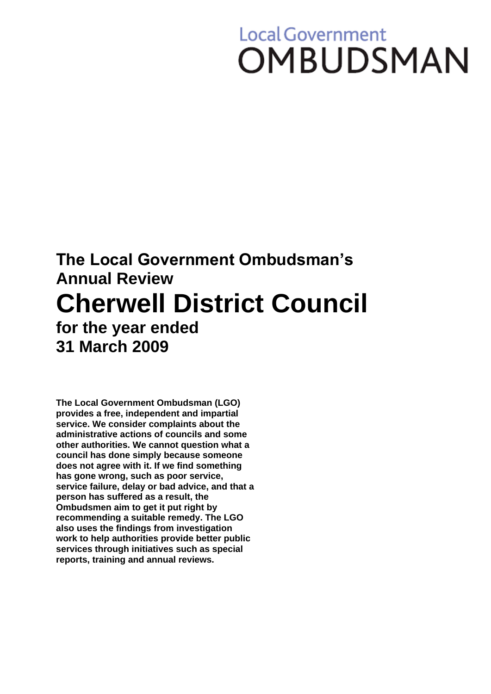# **Local Government OMBUDSMAN**

# **The Local Government Ombudsman's Annual Review Cherwell District Council for the year ended 31 March 2009**

**The Local Government Ombudsman (LGO) provides a free, independent and impartial service. We consider complaints about the administrative actions of councils and some other authorities. We cannot question what a council has done simply because someone does not agree with it. If we find something has gone wrong, such as poor service, service failure, delay or bad advice, and that a person has suffered as a result, the Ombudsmen aim to get it put right by recommending a suitable remedy. The LGO also uses the findings from investigation work to help authorities provide better public services through initiatives such as special reports, training and annual reviews.**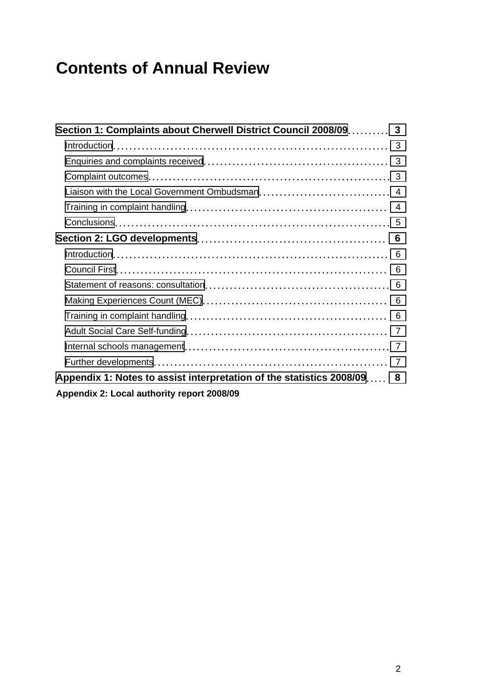# **Contents of Annual Review**

| Section 1: Complaints about Cherwell District Council 2008/09 3        |   |
|------------------------------------------------------------------------|---|
|                                                                        |   |
|                                                                        |   |
|                                                                        |   |
|                                                                        |   |
|                                                                        |   |
|                                                                        |   |
|                                                                        |   |
|                                                                        | 6 |
|                                                                        | 6 |
|                                                                        |   |
|                                                                        |   |
|                                                                        |   |
|                                                                        |   |
|                                                                        |   |
|                                                                        |   |
| Appendix 1: Notes to assist interpretation of the statistics 2008/09 8 |   |
| Appendix 2: Local authority report 2008/09                             |   |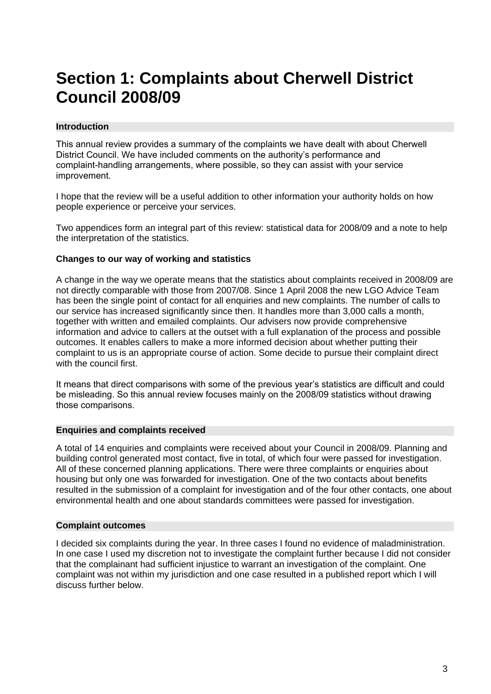## <span id="page-2-0"></span>**Section 1: Complaints about Cherwell District Council 2008/09**

#### <span id="page-2-1"></span>**Introduction**

This annual review provides a summary of the complaints we have dealt with about Cherwell District Council. We have included comments on the authority's performance and complaint-handling arrangements, where possible, so they can assist with your service improvement.

I hope that the review will be a useful addition to other information your authority holds on how people experience or perceive your services.

Two appendices form an integral part of this review: statistical data for 2008/09 and a note to help the interpretation of the statistics.

#### **Changes to our way of working and statistics**

A change in the way we operate means that the statistics about complaints received in 2008/09 are not directly comparable with those from 2007/08. Since 1 April 2008 the new LGO Advice Team has been the single point of contact for all enquiries and new complaints. The number of calls to our service has increased significantly since then. It handles more than 3,000 calls a month, together with written and emailed complaints. Our advisers now provide comprehensive information and advice to callers at the outset with a full explanation of the process and possible outcomes. It enables callers to make a more informed decision about whether putting their complaint to us is an appropriate course of action. Some decide to pursue their complaint direct with the council first.

It means that direct comparisons with some of the previous year's statistics are difficult and could be misleading. So this annual review focuses mainly on the 2008/09 statistics without drawing those comparisons.

#### <span id="page-2-2"></span>**Enquiries and complaints received**

A total of 14 enquiries and complaints were received about your Council in 2008/09. Planning and building control generated most contact, five in total, of which four were passed for investigation. All of these concerned planning applications. There were three complaints or enquiries about housing but only one was forwarded for investigation. One of the two contacts about benefits resulted in the submission of a complaint for investigation and of the four other contacts, one about environmental health and one about standards committees were passed for investigation.

#### <span id="page-2-3"></span>**Complaint outcomes**

I decided six complaints during the year. In three cases I found no evidence of maladministration. In one case I used my discretion not to investigate the complaint further because I did not consider that the complainant had sufficient injustice to warrant an investigation of the complaint. One complaint was not within my jurisdiction and one case resulted in a published report which I will discuss further below.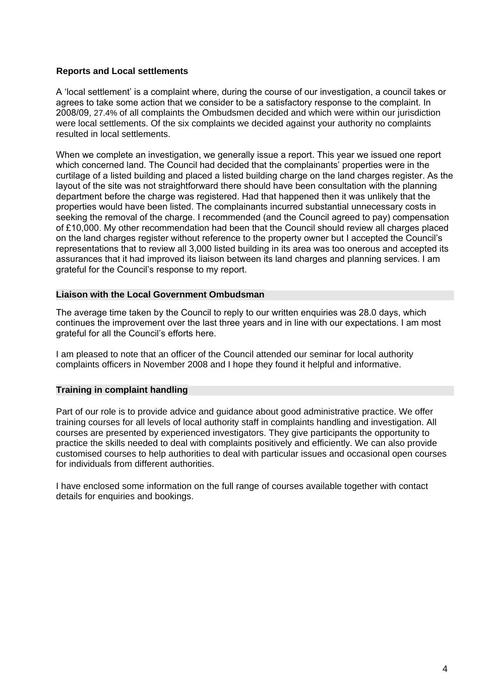#### **Reports and Local settlements**

A 'local settlement' is a complaint where, during the course of our investigation, a council takes or agrees to take some action that we consider to be a satisfactory response to the complaint. In 2008/09, 27.4% of all complaints the Ombudsmen decided and which were within our jurisdiction were local settlements. Of the six complaints we decided against your authority no complaints resulted in local settlements.

When we complete an investigation, we generally issue a report. This year we issued one report which concerned land. The Council had decided that the complainants' properties were in the curtilage of a listed building and placed a listed building charge on the land charges register. As the layout of the site was not straightforward there should have been consultation with the planning department before the charge was registered. Had that happened then it was unlikely that the properties would have been listed. The complainants incurred substantial unnecessary costs in seeking the removal of the charge. I recommended (and the Council agreed to pay) compensation of £10,000. My other recommendation had been that the Council should review all charges placed on the land charges register without reference to the property owner but I accepted the Council's representations that to review all 3,000 listed building in its area was too onerous and accepted its assurances that it had improved its liaison between its land charges and planning services. I am grateful for the Council's response to my report.

#### <span id="page-3-0"></span>**Liaison with the Local Government Ombudsman**

The average time taken by the Council to reply to our written enquiries was 28.0 days, which continues the improvement over the last three years and in line with our expectations. I am most grateful for all the Council's efforts here.

I am pleased to note that an officer of the Council attended our seminar for local authority complaints officers in November 2008 and I hope they found it helpful and informative.

#### <span id="page-3-1"></span>**Training in complaint handling**

Part of our role is to provide advice and guidance about good administrative practice. We offer training courses for all levels of local authority staff in complaints handling and investigation. All courses are presented by experienced investigators. They give participants the opportunity to practice the skills needed to deal with complaints positively and efficiently. We can also provide customised courses to help authorities to deal with particular issues and occasional open courses for individuals from different authorities.

I have enclosed some information on the full range of courses available together with contact details for enquiries and bookings.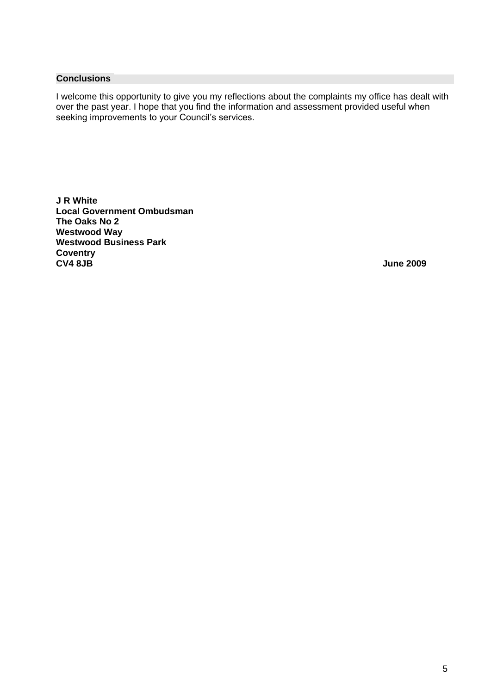#### <span id="page-4-0"></span>**Conclusions**

I welcome this opportunity to give you my reflections about the complaints my office has dealt with over the past year. I hope that you find the information and assessment provided useful when seeking improvements to your Council's services.

**J R White Local Government Ombudsman The Oaks No 2 Westwood Way Westwood Business Park Coventry CV4 8JB June 2009**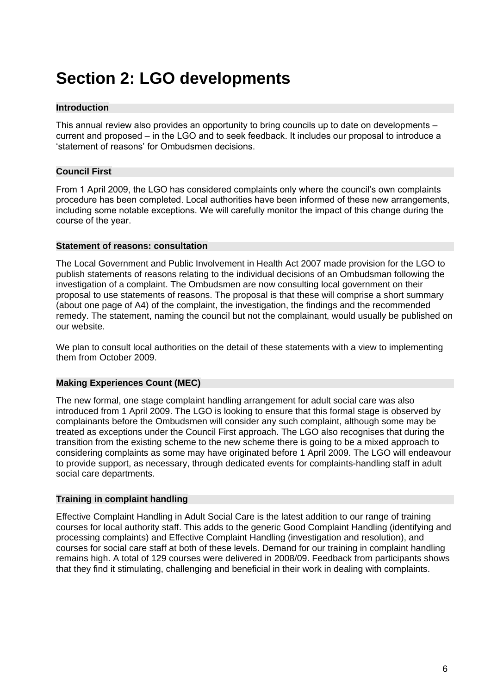## <span id="page-5-0"></span>**Section 2: LGO developments**

#### <span id="page-5-1"></span>**Introduction**

This annual review also provides an opportunity to bring councils up to date on developments – current and proposed – in the LGO and to seek feedback. It includes our proposal to introduce a 'statement of reasons' for Ombudsmen decisions.

#### <span id="page-5-2"></span>**Council First**

From 1 April 2009, the LGO has considered complaints only where the council's own complaints procedure has been completed. Local authorities have been informed of these new arrangements, including some notable exceptions. We will carefully monitor the impact of this change during the course of the year.

#### <span id="page-5-3"></span>**Statement of reasons: consultation**

The Local Government and Public Involvement in Health Act 2007 made provision for the LGO to publish statements of reasons relating to the individual decisions of an Ombudsman following the investigation of a complaint. The Ombudsmen are now consulting local government on their proposal to use statements of reasons. The proposal is that these will comprise a short summary (about one page of A4) of the complaint, the investigation, the findings and the recommended remedy. The statement, naming the council but not the complainant, would usually be published on our website.

We plan to consult local authorities on the detail of these statements with a view to implementing them from October 2009.

#### <span id="page-5-4"></span>**Making Experiences Count (MEC)**

The new formal, one stage complaint handling arrangement for adult social care was also introduced from 1 April 2009. The LGO is looking to ensure that this formal stage is observed by complainants before the Ombudsmen will consider any such complaint, although some may be treated as exceptions under the Council First approach. The LGO also recognises that during the transition from the existing scheme to the new scheme there is going to be a mixed approach to considering complaints as some may have originated before 1 April 2009. The LGO will endeavour to provide support, as necessary, through dedicated events for complaints-handling staff in adult social care departments.

#### <span id="page-5-5"></span>**Training in complaint handling**

Effective Complaint Handling in Adult Social Care is the latest addition to our range of training courses for local authority staff. This adds to the generic Good Complaint Handling (identifying and processing complaints) and Effective Complaint Handling (investigation and resolution), and courses for social care staff at both of these levels. Demand for our training in complaint handling remains high. A total of 129 courses were delivered in 2008/09. Feedback from participants shows that they find it stimulating, challenging and beneficial in their work in dealing with complaints.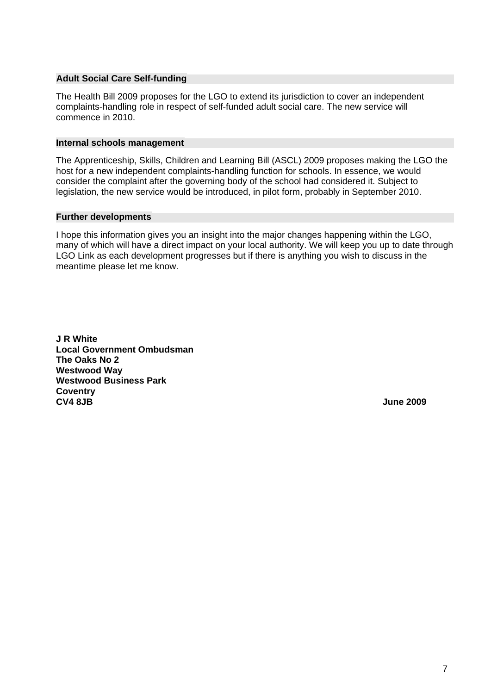#### <span id="page-6-0"></span>**Adult Social Care Self-funding**

The Health Bill 2009 proposes for the LGO to extend its jurisdiction to cover an independent complaints-handling role in respect of self-funded adult social care. The new service will commence in 2010.

#### <span id="page-6-1"></span>**Internal schools management**

The Apprenticeship, Skills, Children and Learning Bill (ASCL) 2009 proposes making the LGO the host for a new independent complaints-handling function for schools. In essence, we would consider the complaint after the governing body of the school had considered it. Subject to legislation, the new service would be introduced, in pilot form, probably in September 2010.

#### <span id="page-6-2"></span>**Further developments**

I hope this information gives you an insight into the major changes happening within the LGO, many of which will have a direct impact on your local authority. We will keep you up to date through LGO Link as each development progresses but if there is anything you wish to discuss in the meantime please let me know.

**J R White Local Government Ombudsman The Oaks No 2 Westwood Way Westwood Business Park Coventry CV4 8JB June 2009**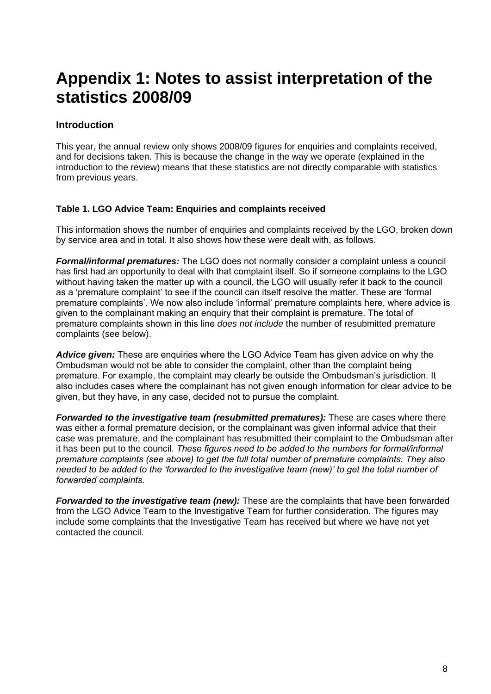### <span id="page-7-0"></span>**Appendix 1: Notes to assist interpretation of the statistics 2008/09**

#### **Introduction**

This year, the annual review only shows 2008/09 figures for enquiries and complaints received, and for decisions taken. This is because the change in the way we operate (explained in the introduction to the review) means that these statistics are not directly comparable with statistics from previous years.

#### **Table 1. LGO Advice Team: Enquiries and complaints received**

This information shows the number of enquiries and complaints received by the LGO, broken down by service area and in total. It also shows how these were dealt with, as follows.

*Formal/informal prematures:* The LGO does not normally consider a complaint unless a council has first had an opportunity to deal with that complaint itself. So if someone complains to the LGO without having taken the matter up with a council, the LGO will usually refer it back to the council as a 'premature complaint' to see if the council can itself resolve the matter. These are 'formal premature complaints'. We now also include 'informal' premature complaints here, where advice is given to the complainant making an enquiry that their complaint is premature. The total of premature complaints shown in this line *does not include* the number of resubmitted premature complaints (see below).

*Advice given:* These are enquiries where the LGO Advice Team has given advice on why the Ombudsman would not be able to consider the complaint, other than the complaint being premature. For example, the complaint may clearly be outside the Ombudsman's jurisdiction. It also includes cases where the complainant has not given enough information for clear advice to be given, but they have, in any case, decided not to pursue the complaint.

*Forwarded to the investigative team (resubmitted prematures):* These are cases where there was either a formal premature decision, or the complainant was given informal advice that their case was premature, and the complainant has resubmitted their complaint to the Ombudsman after it has been put to the council. *These figures need to be added to the numbers for formal/informal premature complaints (see above) to get the full total number of premature complaints. They also needed to be added to the 'forwarded to the investigative team (new)' to get the total number of forwarded complaints.*

*Forwarded to the investigative team (new):* These are the complaints that have been forwarded from the LGO Advice Team to the Investigative Team for further consideration. The figures may include some complaints that the Investigative Team has received but where we have not yet contacted the council.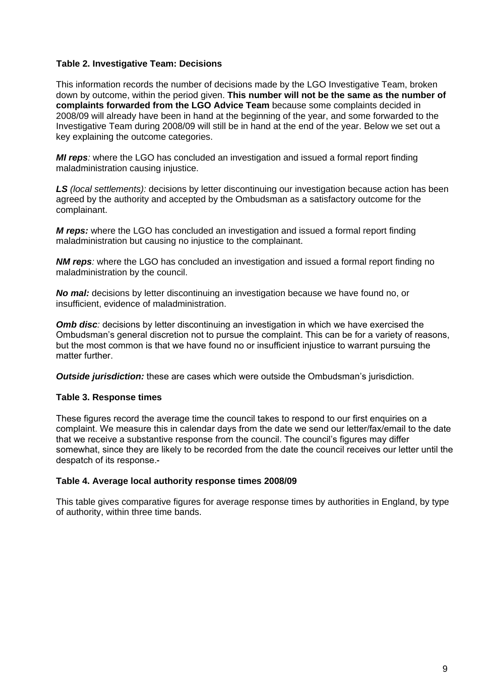#### **Table 2. Investigative Team: Decisions**

This information records the number of decisions made by the LGO Investigative Team, broken down by outcome, within the period given. **This number will not be the same as the number of complaints forwarded from the LGO Advice Team** because some complaints decided in 2008/09 will already have been in hand at the beginning of the year, and some forwarded to the Investigative Team during 2008/09 will still be in hand at the end of the year. Below we set out a key explaining the outcome categories.

*MI reps:* where the LGO has concluded an investigation and issued a formal report finding maladministration causing injustice.

*LS (local settlements):* decisions by letter discontinuing our investigation because action has been agreed by the authority and accepted by the Ombudsman as a satisfactory outcome for the complainant.

*M reps:* where the LGO has concluded an investigation and issued a formal report finding maladministration but causing no injustice to the complainant.

**NM reps**: where the LGO has concluded an investigation and issued a formal report finding no maladministration by the council.

*No mal:* decisions by letter discontinuing an investigation because we have found no, or insufficient, evidence of maladministration.

**Omb disc**: decisions by letter discontinuing an investigation in which we have exercised the Ombudsman's general discretion not to pursue the complaint. This can be for a variety of reasons, but the most common is that we have found no or insufficient injustice to warrant pursuing the matter further.

*Outside jurisdiction:* these are cases which were outside the Ombudsman's jurisdiction.

#### **Table 3. Response times**

These figures record the average time the council takes to respond to our first enquiries on a complaint. We measure this in calendar days from the date we send our letter/fax/email to the date that we receive a substantive response from the council. The council's figures may differ somewhat, since they are likely to be recorded from the date the council receives our letter until the despatch of its response.

#### **Table 4. Average local authority response times 2008/09**

This table gives comparative figures for average response times by authorities in England, by type of authority, within three time bands.